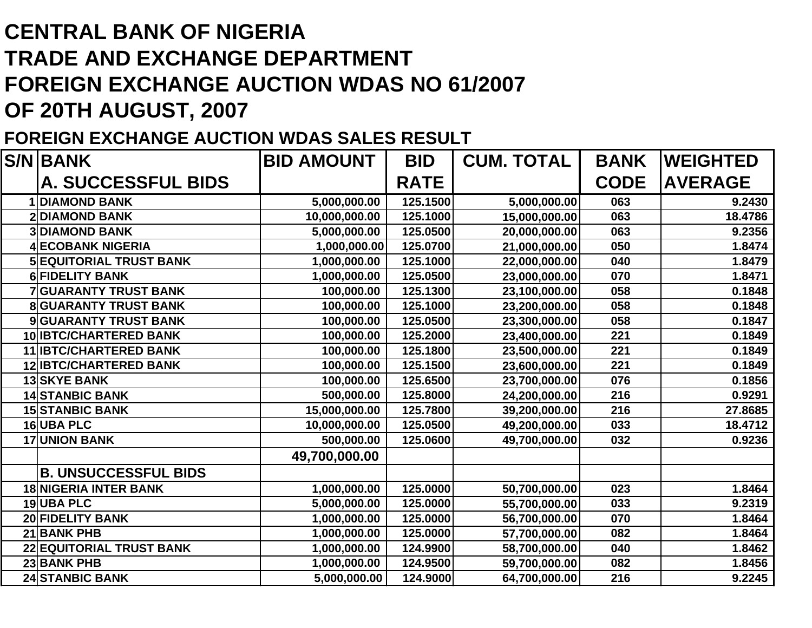## **CENTRAL BANK OF NIGERIATRADE AND EXCHANGE DEPARTMENTFOREIGN EXCHANGE AUCTION WDAS NO 61/2007 OF 20TH AUGUST, 2007**

## **FOREIGN EXCHANGE AUCTION WDAS SALES RESULT**

|   | <b>S/N BANK</b>                 | <b>BID AMOUNT</b> | <b>BID</b>  | <b>CUM. TOTAL</b> | <b>BANK</b> | <b>IWEIGHTED</b> |
|---|---------------------------------|-------------------|-------------|-------------------|-------------|------------------|
|   | <b>A. SUCCESSFUL BIDS</b>       |                   | <b>RATE</b> |                   | <b>CODE</b> | <b>AVERAGE</b>   |
|   | <b>DIAMOND BANK</b>             | 5,000,000.00      | 125.1500    | 5,000,000.00      | 063         | 9.2430           |
|   | <b>DIAMOND BANK</b>             | 10,000,000.00     | 125.1000    | 15,000,000.00     | 063         | 18.4786          |
|   | <b>DIAMOND BANK</b>             | 5,000,000.00      | 125.0500    | 20,000,000.00     | 063         | 9.2356           |
|   | <b>ECOBANK NIGERIA</b>          | 1,000,000.00      | 125.0700    | 21,000,000.00     | 050         | 1.8474           |
|   | <b>5 EQUITORIAL TRUST BANK</b>  | 1,000,000.00      | 125.1000    | 22,000,000.00     | 040         | 1.8479           |
|   | <b>6 FIDELITY BANK</b>          | 1,000,000.00      | 125.0500    | 23,000,000.00     | 070         | 1.8471           |
|   | <b>GUARANTY TRUST BANK</b>      | 100,000.00        | 125.1300    | 23,100,000.00     | 058         | 0.1848           |
| 8 | <b>GUARANTY TRUST BANK</b>      | 100,000.00        | 125.1000    | 23,200,000.00     | 058         | 0.1848           |
| 9 | <b>GUARANTY TRUST BANK</b>      | 100,000.00        | 125.0500    | 23,300,000.00     | 058         | 0.1847           |
|   | 10 IBTC/CHARTERED BANK          | 100,000.00        | 125.2000    | 23,400,000.00     | 221         | 0.1849           |
|   | 11 <b>IBTC/CHARTERED BANK</b>   | 100,000.00        | 125.1800    | 23,500,000.00     | 221         | 0.1849           |
|   | <b>12 IBTC/CHARTERED BANK</b>   | 100,000.00        | 125.1500    | 23,600,000.00     | 221         | 0.1849           |
|   | <b>13 SKYE BANK</b>             | 100,000.00        | 125.6500    | 23,700,000.00     | 076         | 0.1856           |
|   | <b>14 STANBIC BANK</b>          | 500,000.00        | 125.8000    | 24,200,000.00     | 216         | 0.9291           |
|   | <b>15 STANBIC BANK</b>          | 15,000,000.00     | 125.7800    | 39,200,000.00     | 216         | 27.8685          |
|   | 16 UBA PLC                      | 10,000,000.00     | 125.0500    | 49,200,000.00     | 033         | 18.4712          |
|   | <b>17 UNION BANK</b>            | 500,000.00        | 125.0600    | 49,700,000.00     | 032         | 0.9236           |
|   |                                 | 49,700,000.00     |             |                   |             |                  |
|   | <b>B. UNSUCCESSFUL BIDS</b>     |                   |             |                   |             |                  |
|   | <b>18 NIGERIA INTER BANK</b>    | 1,000,000.00      | 125.0000    | 50,700,000.00     | 023         | 1.8464           |
|   | 19UBA PLC                       | 5,000,000.00      | 125.0000    | 55,700,000.00     | 033         | 9.2319           |
|   | <b>20 FIDELITY BANK</b>         | 1,000,000.00      | 125.0000    | 56,700,000.00     | 070         | 1.8464           |
|   | <b>21 BANK PHB</b>              | 1,000,000.00      | 125.0000    | 57,700,000.00     | 082         | 1.8464           |
|   | <b>22 EQUITORIAL TRUST BANK</b> | 1,000,000.00      | 124.9900    | 58,700,000.00     | 040         | 1.8462           |
|   | 23 BANK PHB                     | 1,000,000.00      | 124.9500    | 59,700,000.00     | 082         | 1.8456           |
|   | <b>24 STANBIC BANK</b>          | 5,000,000.00      | 124.9000    | 64,700,000.00     | 216         | 9.2245           |